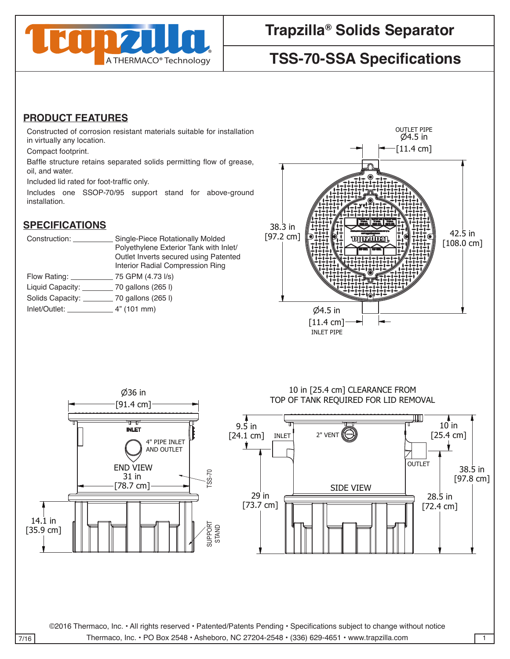

# **Trapzilla® Solids Separator**

# **TSS-70-SSA Specifications**

#### **PRODUCT FEATURES**

Constructed of corrosion resistant materials suitable for installation in virtually any location.

Compact footprint.

Baffle structure retains separated solids permitting flow of grease, oil, and water. OUTLET PIPE

on, and water.<br>Included lid rated for foot-traffic only.

Includes one SSOP-70/95 support stand for above-ground installation.

### **SPECIFICATIONS**

| Construction:             | Single-Piece Rotationally Molded                |
|---------------------------|-------------------------------------------------|
|                           | Polyethylene Exterior Tank with Inlet/          |
|                           | Outlet Inverts secured using Patented           |
|                           | Interior Radial Compression Ring                |
| Flow Rating:              | 75 GPM (4.73 I/s)                               |
| Liquid Capacity: ________ | 70 gallons (265 l)                              |
|                           | Solids Capacity: ___________ 70 gallons (265 l) |
| Inlet/Outlet:             | 4" (101 mm)                                     |
|                           |                                                 |

36 in



#### TOP OF TANK REQUIRED FOR LID REMOVAL 10 in [25.4 cm] CLEARANCE FROM 10 in [25.4 cm] CLEARANCE FROM

 $\mathbf{1}$